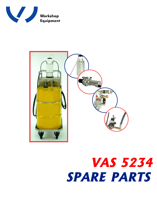



## **VAS 5234 SPARE PARTS**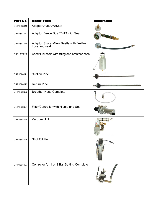| Part No.   | <b>Description</b>                                       | <b>Illustration</b> |
|------------|----------------------------------------------------------|---------------------|
| CRP1898015 | Adaptor Audi/VW/Seat                                     |                     |
| CRP1898017 | Adaptor Beetle Bus T1-T3 with Seal                       |                     |
| CRP1898018 | Adaptor Sharan/New Beetle with flexible<br>hose and seal |                     |
| CRP1898020 | Used fluid bottle with fitting and breather hose         |                     |
| CRP1898021 | <b>Suction Pipe</b>                                      |                     |
| CRP1898022 | <b>Return Pipe</b>                                       |                     |
| CRP1898023 | <b>Breather Hose Complete</b>                            |                     |
| CRP1898024 | Filter/Controller with Nipple and Seal                   |                     |
| CRP1898025 | Vacuum Unit                                              |                     |
| CRP1898026 | Shut Off Unit                                            |                     |
| CRP1898027 | Controller for 1 or 2 Bar Setting Complete               |                     |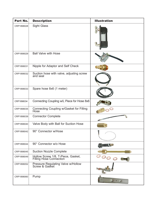| Part No.   | <b>Description</b>                                            | <b>Illustration</b> |
|------------|---------------------------------------------------------------|---------------------|
| CRP1898028 | <b>Sight Glass</b>                                            |                     |
| CRP1898029 | <b>Ball Valve with Hose</b>                                   |                     |
| CRP1898031 | Nipple for Adaptor and Self Check                             |                     |
| CRP1898032 | Suction hose with valve, adjusting screw<br>and seal          |                     |
| CRP1898033 | Spare hose 8x6 (1 meter)                                      |                     |
| CRP1898034 | Connecting Coupling w/L Piece for Hose 8x6                    |                     |
| CRP1898035 | Connecting Coupling w/Gasket for Filling<br>Hose              |                     |
| CRP1898039 | <b>Connector Complete</b>                                     |                     |
| CRP1898040 | Valve Body with Ball for Suction Hose                         |                     |
| CRP1898042 | 90° Connector w/Hose                                          |                     |
| CRP1898044 | 90° Connector w/o Hose                                        | <b>REGISTER</b>     |
| CRP1898045 | <b>Suction Nozzle Complete</b>                                |                     |
| CRP1898049 | Hollow Screw 1/8, T-Piece, Gasket,<br>Filling Hose Connection |                     |
| CRP1898052 | Pressure Regulating Valve w/Hollow<br>Screw & Gasket          |                     |
| CRP1898060 | Pump                                                          |                     |